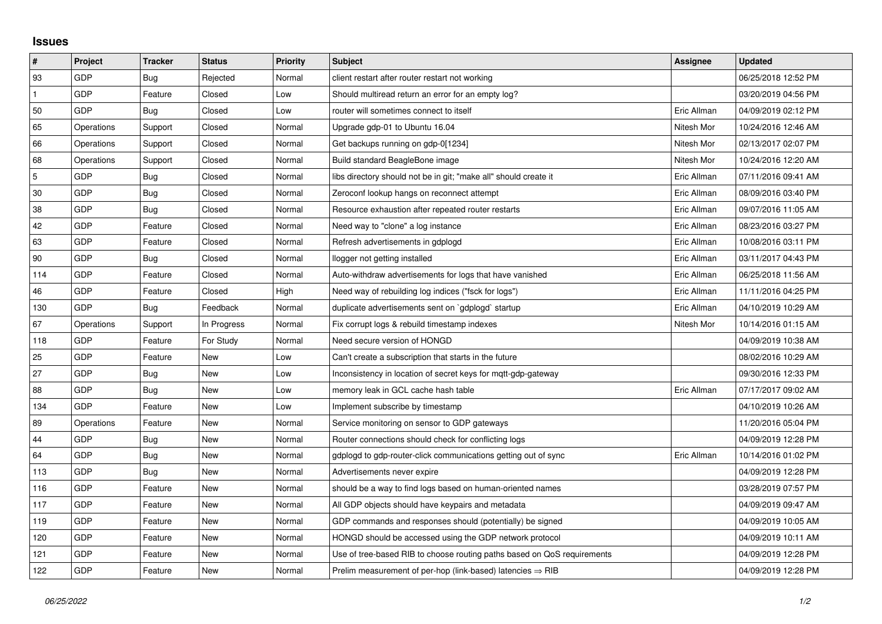## **Issues**

| $\vert$ #    | Project    | <b>Tracker</b> | <b>Status</b> | <b>Priority</b> | <b>Subject</b>                                                          | Assignee    | <b>Updated</b>      |
|--------------|------------|----------------|---------------|-----------------|-------------------------------------------------------------------------|-------------|---------------------|
| 93           | GDP        | Bug            | Rejected      | Normal          | client restart after router restart not working                         |             | 06/25/2018 12:52 PM |
| $\mathbf{1}$ | <b>GDP</b> | Feature        | Closed        | Low             | Should multiread return an error for an empty log?                      |             | 03/20/2019 04:56 PM |
| 50           | <b>GDP</b> | Bug            | Closed        | Low             | router will sometimes connect to itself                                 | Eric Allman | 04/09/2019 02:12 PM |
| 65           | Operations | Support        | Closed        | Normal          | Upgrade gdp-01 to Ubuntu 16.04                                          | Nitesh Mor  | 10/24/2016 12:46 AM |
| 66           | Operations | Support        | Closed        | Normal          | Get backups running on gdp-0[1234]                                      | Nitesh Mor  | 02/13/2017 02:07 PM |
| 68           | Operations | Support        | Closed        | Normal          | Build standard BeagleBone image                                         | Nitesh Mor  | 10/24/2016 12:20 AM |
| 5            | <b>GDP</b> | Bug            | Closed        | Normal          | libs directory should not be in git; "make all" should create it        | Eric Allman | 07/11/2016 09:41 AM |
| $30\,$       | <b>GDP</b> | Bug            | Closed        | Normal          | Zeroconf lookup hangs on reconnect attempt                              | Eric Allman | 08/09/2016 03:40 PM |
| 38           | GDP        | Bug            | Closed        | Normal          | Resource exhaustion after repeated router restarts                      | Eric Allman | 09/07/2016 11:05 AM |
| 42           | <b>GDP</b> | Feature        | Closed        | Normal          | Need way to "clone" a log instance                                      | Eric Allman | 08/23/2016 03:27 PM |
| 63           | <b>GDP</b> | Feature        | Closed        | Normal          | Refresh advertisements in gdplogd                                       | Eric Allman | 10/08/2016 03:11 PM |
| 90           | <b>GDP</b> | Bug            | Closed        | Normal          | llogger not getting installed                                           | Eric Allman | 03/11/2017 04:43 PM |
| 114          | <b>GDP</b> | Feature        | Closed        | Normal          | Auto-withdraw advertisements for logs that have vanished                | Eric Allman | 06/25/2018 11:56 AM |
| 46           | GDP        | Feature        | Closed        | High            | Need way of rebuilding log indices ("fsck for logs")                    | Eric Allman | 11/11/2016 04:25 PM |
| 130          | <b>GDP</b> | Bug            | Feedback      | Normal          | duplicate advertisements sent on `gdplogd` startup                      | Eric Allman | 04/10/2019 10:29 AM |
| 67           | Operations | Support        | In Progress   | Normal          | Fix corrupt logs & rebuild timestamp indexes                            | Nitesh Mor  | 10/14/2016 01:15 AM |
| 118          | <b>GDP</b> | Feature        | For Study     | Normal          | Need secure version of HONGD                                            |             | 04/09/2019 10:38 AM |
| 25           | <b>GDP</b> | Feature        | New           | Low             | Can't create a subscription that starts in the future                   |             | 08/02/2016 10:29 AM |
| 27           | GDP        | Bug            | New           | Low             | Inconsistency in location of secret keys for mqtt-gdp-gateway           |             | 09/30/2016 12:33 PM |
| 88           | GDP        | Bug            | New           | Low             | memory leak in GCL cache hash table                                     | Eric Allman | 07/17/2017 09:02 AM |
| 134          | <b>GDP</b> | Feature        | New           | Low             | Implement subscribe by timestamp                                        |             | 04/10/2019 10:26 AM |
| 89           | Operations | Feature        | New           | Normal          | Service monitoring on sensor to GDP gateways                            |             | 11/20/2016 05:04 PM |
| 44           | GDP        | Bug            | <b>New</b>    | Normal          | Router connections should check for conflicting logs                    |             | 04/09/2019 12:28 PM |
| 64           | GDP        | Bug            | New           | Normal          | gdplogd to gdp-router-click communications getting out of sync          | Eric Allman | 10/14/2016 01:02 PM |
| 113          | <b>GDP</b> | Bug            | <b>New</b>    | Normal          | Advertisements never expire                                             |             | 04/09/2019 12:28 PM |
| 116          | GDP        | Feature        | <b>New</b>    | Normal          | should be a way to find logs based on human-oriented names              |             | 03/28/2019 07:57 PM |
| 117          | GDP        | Feature        | New           | Normal          | All GDP objects should have keypairs and metadata                       |             | 04/09/2019 09:47 AM |
| 119          | <b>GDP</b> | Feature        | New           | Normal          | GDP commands and responses should (potentially) be signed               |             | 04/09/2019 10:05 AM |
| 120          | GDP        | Feature        | New           | Normal          | HONGD should be accessed using the GDP network protocol                 |             | 04/09/2019 10:11 AM |
| 121          | GDP        | Feature        | New           | Normal          | Use of tree-based RIB to choose routing paths based on QoS requirements |             | 04/09/2019 12:28 PM |
| 122          | GDP        | Feature        | <b>New</b>    | Normal          | Prelim measurement of per-hop (link-based) latencies $\Rightarrow$ RIB  |             | 04/09/2019 12:28 PM |